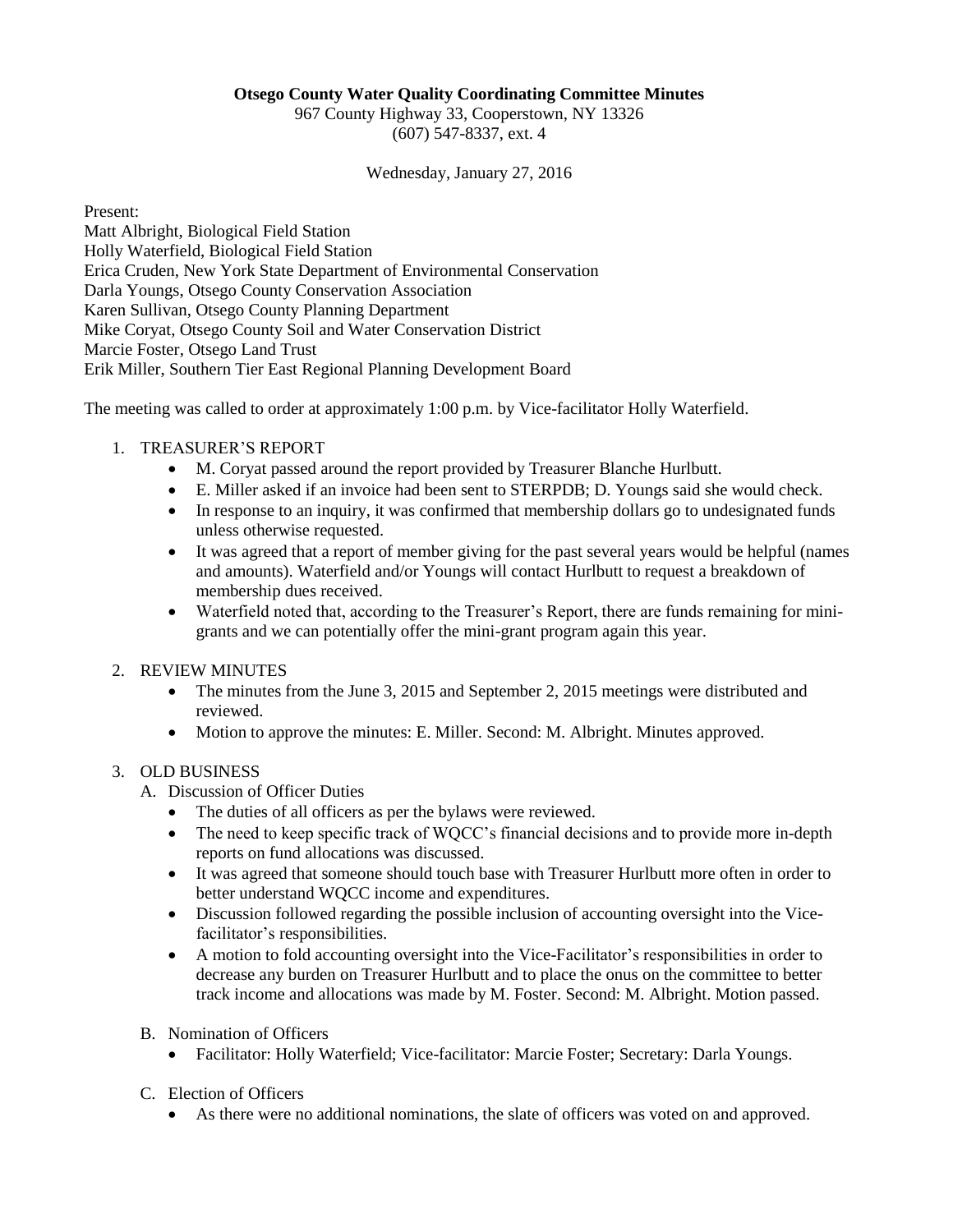#### **Otsego County Water Quality Coordinating Committee Minutes**

967 County Highway 33, Cooperstown, NY 13326 (607) 547-8337, ext. 4

Wednesday, January 27, 2016

Present:

Matt Albright, Biological Field Station Holly Waterfield, Biological Field Station Erica Cruden, New York State Department of Environmental Conservation Darla Youngs, Otsego County Conservation Association Karen Sullivan, Otsego County Planning Department Mike Coryat, Otsego County Soil and Water Conservation District Marcie Foster, Otsego Land Trust Erik Miller, Southern Tier East Regional Planning Development Board

The meeting was called to order at approximately 1:00 p.m. by Vice-facilitator Holly Waterfield.

### 1. TREASURER'S REPORT

- M. Coryat passed around the report provided by Treasurer Blanche Hurlbutt.
- E. Miller asked if an invoice had been sent to STERPDB; D. Youngs said she would check.
- In response to an inquiry, it was confirmed that membership dollars go to undesignated funds unless otherwise requested.
- It was agreed that a report of member giving for the past several years would be helpful (names and amounts). Waterfield and/or Youngs will contact Hurlbutt to request a breakdown of membership dues received.
- Waterfield noted that, according to the Treasurer's Report, there are funds remaining for minigrants and we can potentially offer the mini-grant program again this year.

### 2. REVIEW MINUTES

- The minutes from the June 3, 2015 and September 2, 2015 meetings were distributed and reviewed.
- Motion to approve the minutes: E. Miller. Second: M. Albright. Minutes approved.

# 3. OLD BUSINESS

- A. Discussion of Officer Duties
	- The duties of all officers as per the bylaws were reviewed.
	- The need to keep specific track of WQCC's financial decisions and to provide more in-depth reports on fund allocations was discussed.
	- It was agreed that someone should touch base with Treasurer Hurlbutt more often in order to better understand WQCC income and expenditures.
	- Discussion followed regarding the possible inclusion of accounting oversight into the Vicefacilitator's responsibilities.
	- A motion to fold accounting oversight into the Vice-Facilitator's responsibilities in order to decrease any burden on Treasurer Hurlbutt and to place the onus on the committee to better track income and allocations was made by M. Foster. Second: M. Albright. Motion passed.
- B. Nomination of Officers
	- Facilitator: Holly Waterfield; Vice-facilitator: Marcie Foster; Secretary: Darla Youngs.
- C. Election of Officers
	- As there were no additional nominations, the slate of officers was voted on and approved.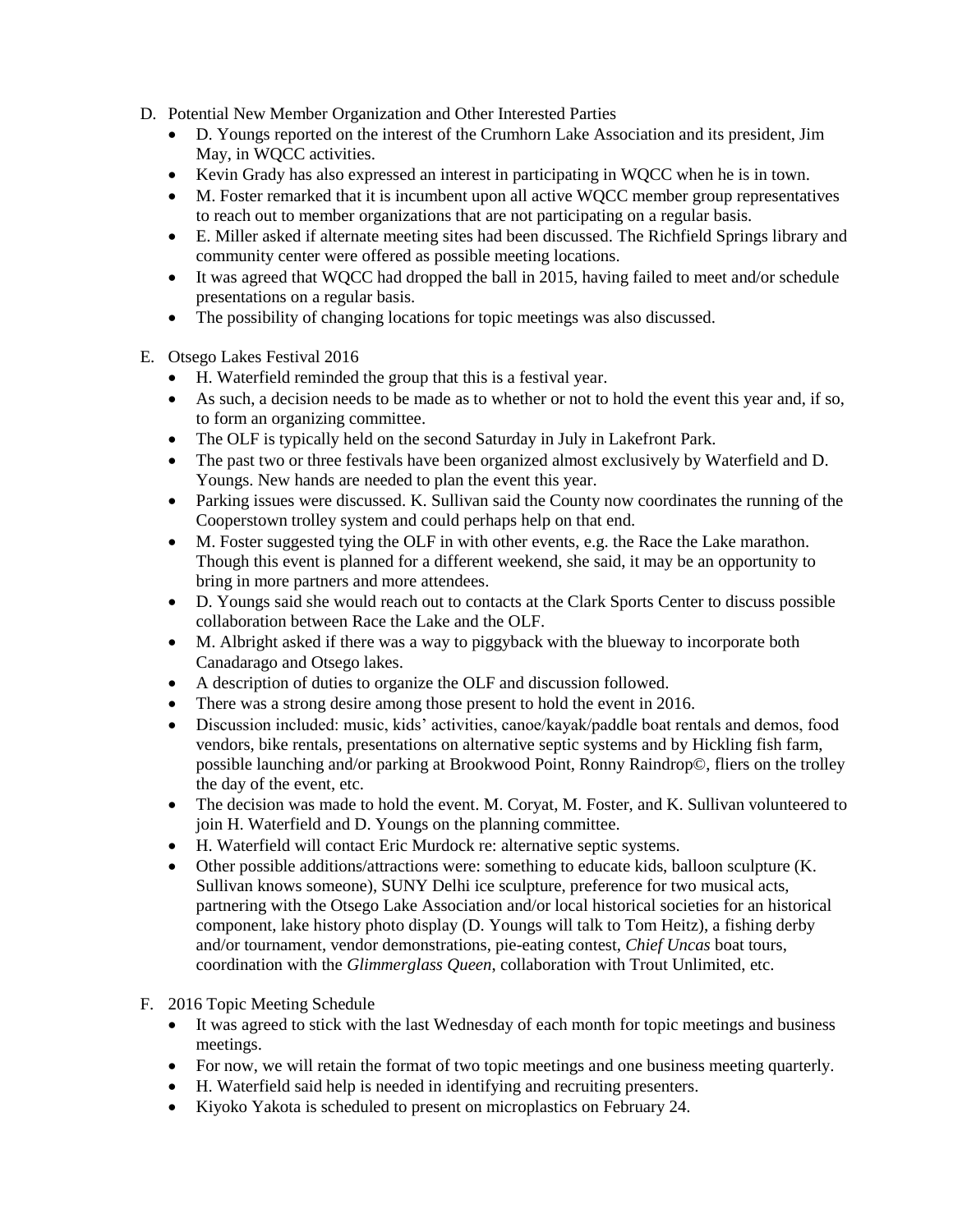- D. Potential New Member Organization and Other Interested Parties
	- D. Youngs reported on the interest of the Crumhorn Lake Association and its president, Jim May, in WQCC activities.
	- Kevin Grady has also expressed an interest in participating in WQCC when he is in town.
	- M. Foster remarked that it is incumbent upon all active WQCC member group representatives to reach out to member organizations that are not participating on a regular basis.
	- E. Miller asked if alternate meeting sites had been discussed. The Richfield Springs library and community center were offered as possible meeting locations.
	- It was agreed that WQCC had dropped the ball in 2015, having failed to meet and/or schedule presentations on a regular basis.
	- The possibility of changing locations for topic meetings was also discussed.
- E. Otsego Lakes Festival 2016
	- H. Waterfield reminded the group that this is a festival year.
	- As such, a decision needs to be made as to whether or not to hold the event this year and, if so, to form an organizing committee.
	- The OLF is typically held on the second Saturday in July in Lakefront Park.
	- The past two or three festivals have been organized almost exclusively by Waterfield and D. Youngs. New hands are needed to plan the event this year.
	- Parking issues were discussed. K. Sullivan said the County now coordinates the running of the Cooperstown trolley system and could perhaps help on that end.
	- M. Foster suggested tying the OLF in with other events, e.g. the Race the Lake marathon. Though this event is planned for a different weekend, she said, it may be an opportunity to bring in more partners and more attendees.
	- D. Youngs said she would reach out to contacts at the Clark Sports Center to discuss possible collaboration between Race the Lake and the OLF.
	- M. Albright asked if there was a way to piggyback with the blueway to incorporate both Canadarago and Otsego lakes.
	- A description of duties to organize the OLF and discussion followed.
	- There was a strong desire among those present to hold the event in 2016.
	- Discussion included: music, kids' activities, canoe/kayak/paddle boat rentals and demos, food vendors, bike rentals, presentations on alternative septic systems and by Hickling fish farm, possible launching and/or parking at Brookwood Point, Ronny Raindrop©, fliers on the trolley the day of the event, etc.
	- The decision was made to hold the event. M. Coryat, M. Foster, and K. Sullivan volunteered to join H. Waterfield and D. Youngs on the planning committee.
	- H. Waterfield will contact Eric Murdock re: alternative septic systems.
	- Other possible additions/attractions were: something to educate kids, balloon sculpture (K. Sullivan knows someone), SUNY Delhi ice sculpture, preference for two musical acts, partnering with the Otsego Lake Association and/or local historical societies for an historical component, lake history photo display (D. Youngs will talk to Tom Heitz), a fishing derby and/or tournament, vendor demonstrations, pie-eating contest, *Chief Uncas* boat tours, coordination with the *Glimmerglass Queen*, collaboration with Trout Unlimited, etc.
- F. 2016 Topic Meeting Schedule
	- It was agreed to stick with the last Wednesday of each month for topic meetings and business meetings.
	- For now, we will retain the format of two topic meetings and one business meeting quarterly.
	- H. Waterfield said help is needed in identifying and recruiting presenters.
	- Kiyoko Yakota is scheduled to present on microplastics on February 24.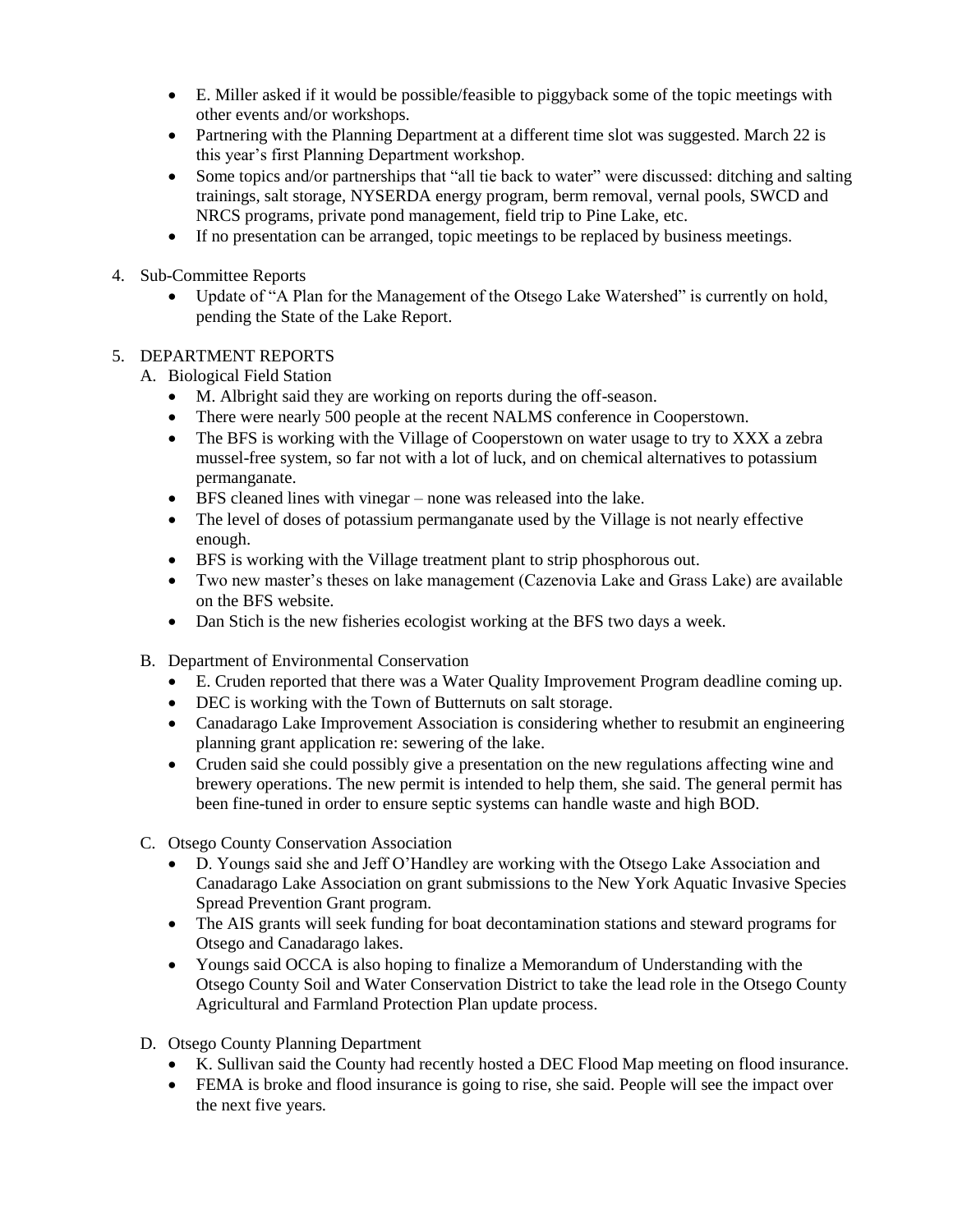- E. Miller asked if it would be possible/feasible to piggyback some of the topic meetings with other events and/or workshops.
- Partnering with the Planning Department at a different time slot was suggested. March 22 is this year's first Planning Department workshop.
- Some topics and/or partnerships that "all tie back to water" were discussed: ditching and salting trainings, salt storage, NYSERDA energy program, berm removal, vernal pools, SWCD and NRCS programs, private pond management, field trip to Pine Lake, etc.
- If no presentation can be arranged, topic meetings to be replaced by business meetings.
- 4. Sub-Committee Reports
	- Update of "A Plan for the Management of the Otsego Lake Watershed" is currently on hold, pending the State of the Lake Report.

# 5. DEPARTMENT REPORTS

- A. Biological Field Station
	- M. Albright said they are working on reports during the off-season.
	- There were nearly 500 people at the recent NALMS conference in Cooperstown.
	- The BFS is working with the Village of Cooperstown on water usage to try to XXX a zebra mussel-free system, so far not with a lot of luck, and on chemical alternatives to potassium permanganate.
	- BFS cleaned lines with vinegar none was released into the lake.
	- The level of doses of potassium permanganate used by the Village is not nearly effective enough.
	- BFS is working with the Village treatment plant to strip phosphorous out.
	- Two new master's theses on lake management (Cazenovia Lake and Grass Lake) are available on the BFS website.
	- Dan Stich is the new fisheries ecologist working at the BFS two days a week.
- B. Department of Environmental Conservation
	- E. Cruden reported that there was a Water Quality Improvement Program deadline coming up.
	- DEC is working with the Town of Butternuts on salt storage.
	- Canadarago Lake Improvement Association is considering whether to resubmit an engineering planning grant application re: sewering of the lake.
	- Cruden said she could possibly give a presentation on the new regulations affecting wine and brewery operations. The new permit is intended to help them, she said. The general permit has been fine-tuned in order to ensure septic systems can handle waste and high BOD.
- C. Otsego County Conservation Association
	- D. Youngs said she and Jeff O'Handley are working with the Otsego Lake Association and Canadarago Lake Association on grant submissions to the New York Aquatic Invasive Species Spread Prevention Grant program.
	- The AIS grants will seek funding for boat decontamination stations and steward programs for Otsego and Canadarago lakes.
	- Youngs said OCCA is also hoping to finalize a Memorandum of Understanding with the Otsego County Soil and Water Conservation District to take the lead role in the Otsego County Agricultural and Farmland Protection Plan update process.
- D. Otsego County Planning Department
	- K. Sullivan said the County had recently hosted a DEC Flood Map meeting on flood insurance.
	- FEMA is broke and flood insurance is going to rise, she said. People will see the impact over the next five years.